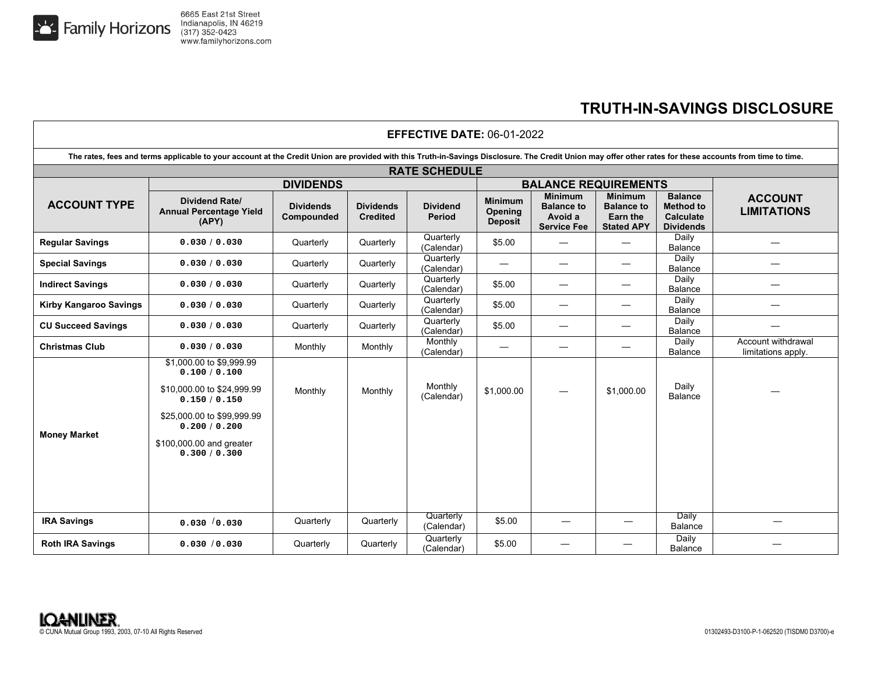

## **TRUTH-IN-SAVINGS DISCLOSURE**

| <b>EFFECTIVE DATE: 06-01-2022</b>                                                                                                                                                                         |                                                                                                                                                                                      |                                |                                     |                           |                                                    |                                                                      |                                                                             |                                                                            |                                          |  |
|-----------------------------------------------------------------------------------------------------------------------------------------------------------------------------------------------------------|--------------------------------------------------------------------------------------------------------------------------------------------------------------------------------------|--------------------------------|-------------------------------------|---------------------------|----------------------------------------------------|----------------------------------------------------------------------|-----------------------------------------------------------------------------|----------------------------------------------------------------------------|------------------------------------------|--|
| The rates, fees and terms applicable to your account at the Credit Union are provided with this Truth-in-Savings Disclosure. The Credit Union may offer other rates for these accounts from time to time. |                                                                                                                                                                                      |                                |                                     |                           |                                                    |                                                                      |                                                                             |                                                                            |                                          |  |
| <b>RATE SCHEDULE</b>                                                                                                                                                                                      |                                                                                                                                                                                      |                                |                                     |                           |                                                    |                                                                      |                                                                             |                                                                            |                                          |  |
| <b>ACCOUNT TYPE</b>                                                                                                                                                                                       | <b>DIVIDENDS</b>                                                                                                                                                                     |                                |                                     |                           | <b>BALANCE REQUIREMENTS</b>                        |                                                                      |                                                                             |                                                                            |                                          |  |
|                                                                                                                                                                                                           | <b>Dividend Rate/</b><br><b>Annual Percentage Yield</b><br>(APY)                                                                                                                     | <b>Dividends</b><br>Compounded | <b>Dividends</b><br><b>Credited</b> | <b>Dividend</b><br>Period | <b>Minimum</b><br><b>Opening</b><br><b>Deposit</b> | <b>Minimum</b><br><b>Balance to</b><br>Avoid a<br><b>Service Fee</b> | <b>Minimum</b><br><b>Balance to</b><br><b>Earn the</b><br><b>Stated APY</b> | <b>Balance</b><br><b>Method to</b><br><b>Calculate</b><br><b>Dividends</b> | <b>ACCOUNT</b><br><b>LIMITATIONS</b>     |  |
| <b>Regular Savings</b>                                                                                                                                                                                    | 0.030 / 0.030                                                                                                                                                                        | Quarterly                      | Quarterly                           | Quarterly<br>(Calendar)   | \$5.00                                             |                                                                      |                                                                             | Daily<br>Balance                                                           |                                          |  |
| <b>Special Savings</b>                                                                                                                                                                                    | 0.030 / 0.030                                                                                                                                                                        | Quarterly                      | Quarterly                           | Quarterly<br>(Calendar)   |                                                    | $\hspace{0.1mm}-\hspace{0.1mm}$                                      |                                                                             | Daily<br><b>Balance</b>                                                    |                                          |  |
| <b>Indirect Savings</b>                                                                                                                                                                                   | 0.030 / 0.030                                                                                                                                                                        | Quarterly                      | Quarterly                           | Quarterly<br>(Calendar)   | \$5.00                                             | $\overbrace{\phantom{12333}}$                                        | —                                                                           | Daily<br><b>Balance</b>                                                    |                                          |  |
| <b>Kirby Kangaroo Savings</b>                                                                                                                                                                             | 0.030 / 0.030                                                                                                                                                                        | Quarterly                      | Quarterly                           | Quarterly<br>(Calendar)   | \$5.00                                             | $\overbrace{\phantom{12333}}$                                        | —                                                                           | Daily<br><b>Balance</b>                                                    |                                          |  |
| <b>CU Succeed Savings</b>                                                                                                                                                                                 | 0.030 / 0.030                                                                                                                                                                        | Quarterly                      | Quarterly                           | Quarterly<br>(Calendar)   | \$5.00                                             | $\overline{\phantom{0}}$                                             |                                                                             | Daily<br>Balance                                                           |                                          |  |
| <b>Christmas Club</b>                                                                                                                                                                                     | 0.030 / 0.030                                                                                                                                                                        | Monthly                        | Monthly                             | Monthly<br>(Calendar)     | $\hspace{0.05cm}$                                  | $\overline{\phantom{m}}$                                             | —                                                                           | Daily<br><b>Balance</b>                                                    | Account withdrawal<br>limitations apply. |  |
| <b>Money Market</b>                                                                                                                                                                                       | \$1,000.00 to \$9,999.99<br>0.100 / 0.100<br>\$10,000.00 to \$24,999.99<br>0.150 / 0.150<br>\$25,000.00 to \$99,999.99<br>0.200 / 0.200<br>\$100,000.00 and greater<br>0.300 / 0.300 | Monthly                        | Monthly                             | Monthly<br>(Calendar)     | \$1,000.00                                         |                                                                      | \$1,000.00                                                                  | Daily<br><b>Balance</b>                                                    |                                          |  |
| <b>IRA Savings</b>                                                                                                                                                                                        | 0.030 / 0.030                                                                                                                                                                        | Quarterly                      | Quarterly                           | Quarterly<br>(Calendar)   | \$5.00                                             |                                                                      |                                                                             | Daily<br>Balance                                                           |                                          |  |
| <b>Roth IRA Savings</b>                                                                                                                                                                                   | 0.030 / 0.030                                                                                                                                                                        | Quarterly                      | Quarterly                           | Quarterly<br>(Calendar)   | \$5.00                                             |                                                                      |                                                                             | Daily<br>Balance                                                           |                                          |  |